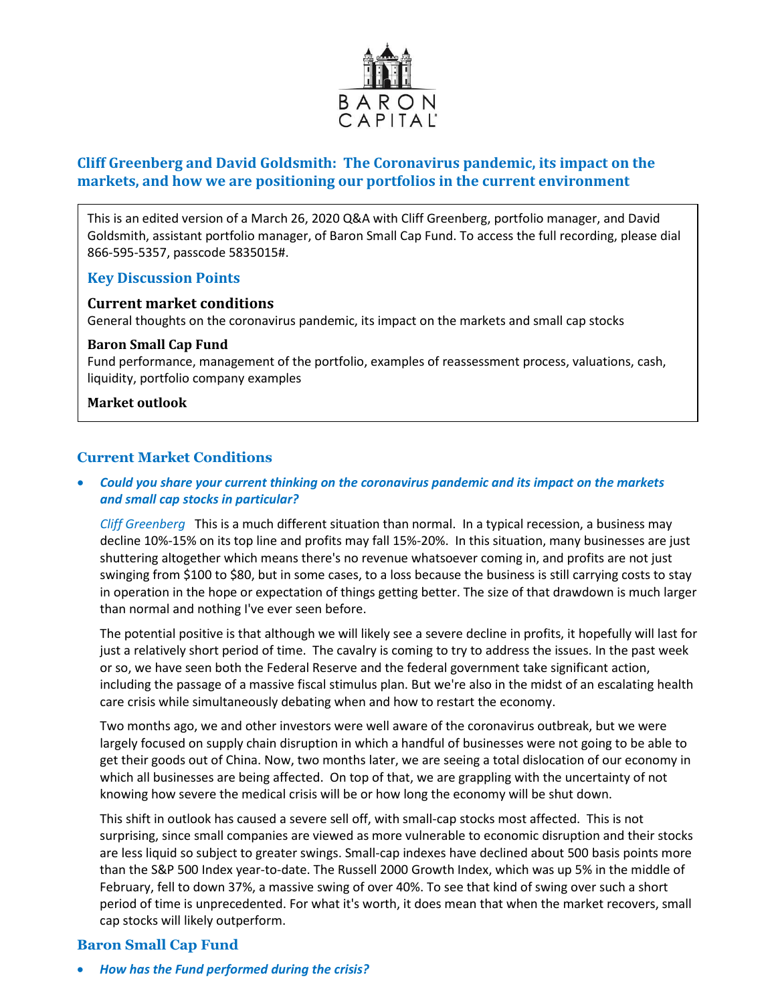

# **Cliff Greenberg and David Goldsmith: The Coronavirus pandemic, its impact on the markets, and how we are positioning our portfolios in the current environment**

This is an edited version of a March 26, 2020 Q&A with Cliff Greenberg, portfolio manager, and David Goldsmith, assistant portfolio manager, of Baron Small Cap Fund. To access the full recording, please dial 866-595-5357, passcode 5835015#.

## **Key Discussion Points**

## **Current market conditions**

General thoughts on the coronavirus pandemic, its impact on the markets and small cap stocks

### **Baron Small Cap Fund**

Fund performance, management of the portfolio, examples of reassessment process, valuations, cash, liquidity, portfolio company examples

### **Market outlook**

## **Current Market Conditions**

• *Could you share your current thinking on the coronavirus pandemic and its impact on the markets and small cap stocks in particular?*

*Cliff Greenberg* This is a much different situation than normal. In a typical recession, a business may decline 10%-15% on its top line and profits may fall 15%-20%. In this situation, many businesses are just shuttering altogether which means there's no revenue whatsoever coming in, and profits are not just swinging from \$100 to \$80, but in some cases, to a loss because the business is still carrying costs to stay in operation in the hope or expectation of things getting better. The size of that drawdown is much larger than normal and nothing I've ever seen before.

The potential positive is that although we will likely see a severe decline in profits, it hopefully will last for just a relatively short period of time. The cavalry is coming to try to address the issues. In the past week or so, we have seen both the Federal Reserve and the federal government take significant action, including the passage of a massive fiscal stimulus plan. But we're also in the midst of an escalating health care crisis while simultaneously debating when and how to restart the economy.

Two months ago, we and other investors were well aware of the coronavirus outbreak, but we were largely focused on supply chain disruption in which a handful of businesses were not going to be able to get their goods out of China. Now, two months later, we are seeing a total dislocation of our economy in which all businesses are being affected. On top of that, we are grappling with the uncertainty of not knowing how severe the medical crisis will be or how long the economy will be shut down.

This shift in outlook has caused a severe sell off, with small-cap stocks most affected. This is not surprising, since small companies are viewed as more vulnerable to economic disruption and their stocks are less liquid so subject to greater swings. Small-cap indexes have declined about 500 basis points more than the S&P 500 Index year-to-date. The Russell 2000 Growth Index, which was up 5% in the middle of February, fell to down 37%, a massive swing of over 40%. To see that kind of swing over such a short period of time is unprecedented. For what it's worth, it does mean that when the market recovers, small cap stocks will likely outperform.

## **Baron Small Cap Fund**

• *How has the Fund performed during the crisis?*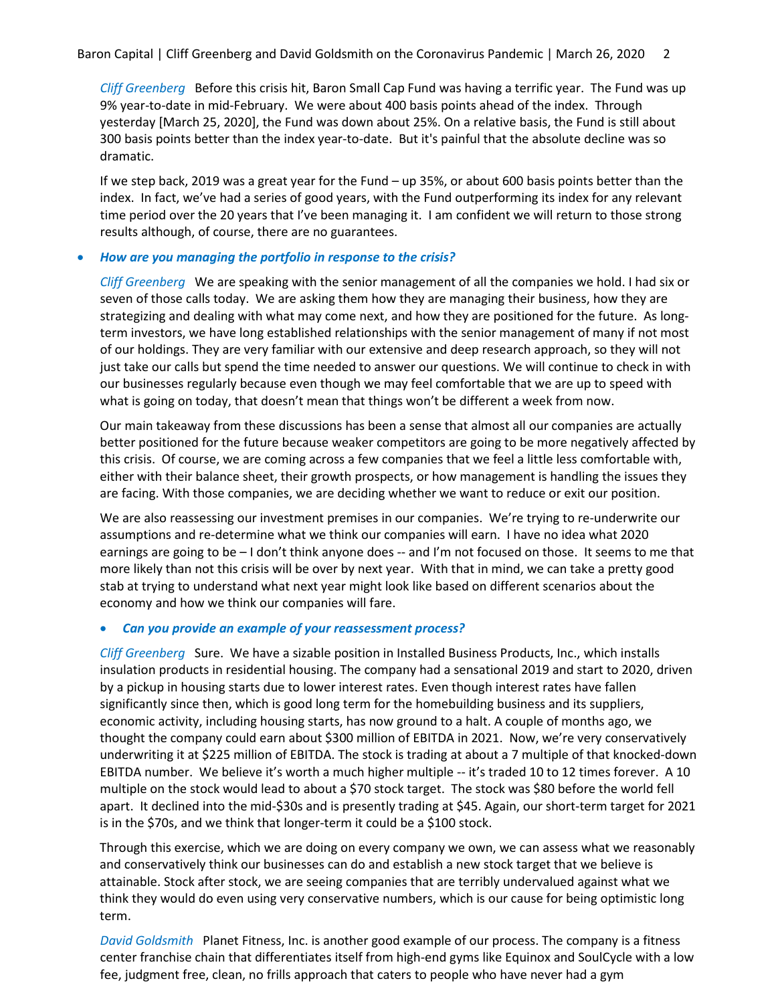*Cliff Greenberg* Before this crisis hit, Baron Small Cap Fund was having a terrific year. The Fund was up 9% year-to-date in mid-February. We were about 400 basis points ahead of the index. Through yesterday [March 25, 2020], the Fund was down about 25%. On a relative basis, the Fund is still about 300 basis points better than the index year-to-date. But it's painful that the absolute decline was so dramatic.

If we step back, 2019 was a great year for the Fund – up 35%, or about 600 basis points better than the index. In fact, we've had a series of good years, with the Fund outperforming its index for any relevant time period over the 20 years that I've been managing it. I am confident we will return to those strong results although, of course, there are no guarantees.

### • *How are you managing the portfolio in response to the crisis?*

*Cliff Greenberg* We are speaking with the senior management of all the companies we hold. I had six or seven of those calls today. We are asking them how they are managing their business, how they are strategizing and dealing with what may come next, and how they are positioned for the future. As longterm investors, we have long established relationships with the senior management of many if not most of our holdings. They are very familiar with our extensive and deep research approach, so they will not just take our calls but spend the time needed to answer our questions. We will continue to check in with our businesses regularly because even though we may feel comfortable that we are up to speed with what is going on today, that doesn't mean that things won't be different a week from now.

Our main takeaway from these discussions has been a sense that almost all our companies are actually better positioned for the future because weaker competitors are going to be more negatively affected by this crisis. Of course, we are coming across a few companies that we feel a little less comfortable with, either with their balance sheet, their growth prospects, or how management is handling the issues they are facing. With those companies, we are deciding whether we want to reduce or exit our position.

We are also reassessing our investment premises in our companies. We're trying to re-underwrite our assumptions and re-determine what we think our companies will earn. I have no idea what 2020 earnings are going to be – I don't think anyone does -- and I'm not focused on those. It seems to me that more likely than not this crisis will be over by next year. With that in mind, we can take a pretty good stab at trying to understand what next year might look like based on different scenarios about the economy and how we think our companies will fare.

## • *Can you provide an example of your reassessment process?*

*Cliff Greenberg* Sure. We have a sizable position in Installed Business Products, Inc., which installs insulation products in residential housing. The company had a sensational 2019 and start to 2020, driven by a pickup in housing starts due to lower interest rates. Even though interest rates have fallen significantly since then, which is good long term for the homebuilding business and its suppliers, economic activity, including housing starts, has now ground to a halt. A couple of months ago, we thought the company could earn about \$300 million of EBITDA in 2021. Now, we're very conservatively underwriting it at \$225 million of EBITDA. The stock is trading at about a 7 multiple of that knocked-down EBITDA number. We believe it's worth a much higher multiple -- it's traded 10 to 12 times forever. A 10 multiple on the stock would lead to about a \$70 stock target. The stock was \$80 before the world fell apart. It declined into the mid-\$30s and is presently trading at \$45. Again, our short-term target for 2021 is in the \$70s, and we think that longer-term it could be a \$100 stock.

Through this exercise, which we are doing on every company we own, we can assess what we reasonably and conservatively think our businesses can do and establish a new stock target that we believe is attainable. Stock after stock, we are seeing companies that are terribly undervalued against what we think they would do even using very conservative numbers, which is our cause for being optimistic long term.

*David Goldsmith* Planet Fitness, Inc. is another good example of our process. The company is a fitness center franchise chain that differentiates itself from high-end gyms like Equinox and SoulCycle with a low fee, judgment free, clean, no frills approach that caters to people who have never had a gym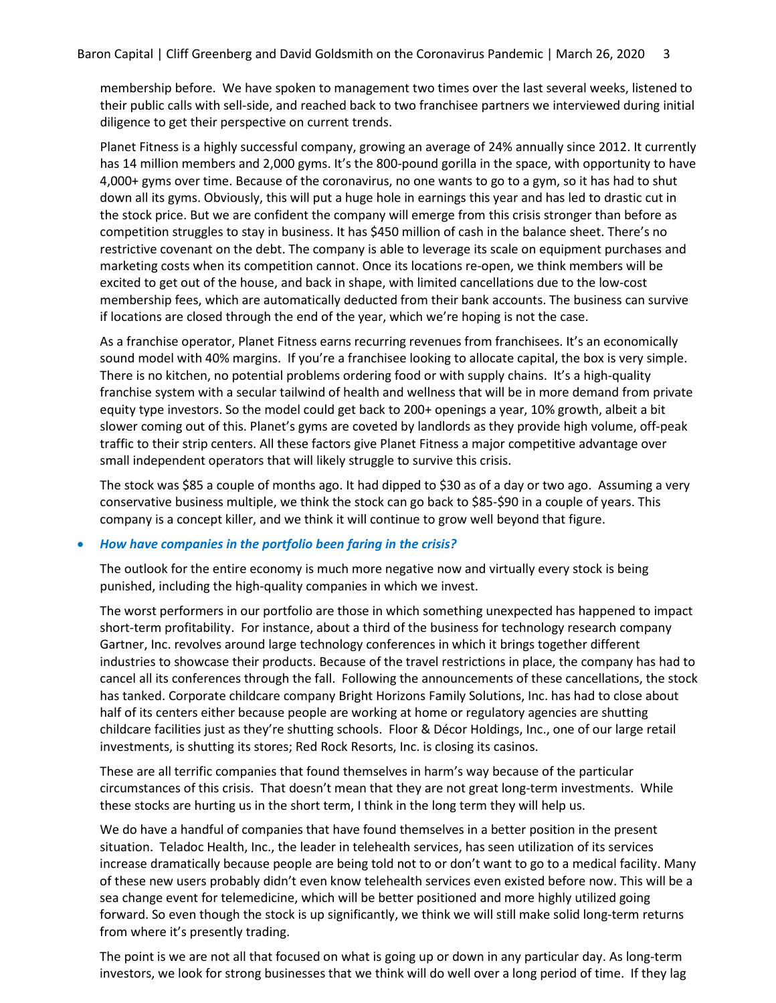membership before. We have spoken to management two times over the last several weeks, listened to their public calls with sell-side, and reached back to two franchisee partners we interviewed during initial diligence to get their perspective on current trends.

Planet Fitness is a highly successful company, growing an average of 24% annually since 2012. It currently has 14 million members and 2,000 gyms. It's the 800-pound gorilla in the space, with opportunity to have 4,000+ gyms over time. Because of the coronavirus, no one wants to go to a gym, so it has had to shut down all its gyms. Obviously, this will put a huge hole in earnings this year and has led to drastic cut in the stock price. But we are confident the company will emerge from this crisis stronger than before as competition struggles to stay in business. It has \$450 million of cash in the balance sheet. There's no restrictive covenant on the debt. The company is able to leverage its scale on equipment purchases and marketing costs when its competition cannot. Once its locations re-open, we think members will be excited to get out of the house, and back in shape, with limited cancellations due to the low-cost membership fees, which are automatically deducted from their bank accounts. The business can survive if locations are closed through the end of the year, which we're hoping is not the case.

As a franchise operator, Planet Fitness earns recurring revenues from franchisees. It's an economically sound model with 40% margins. If you're a franchisee looking to allocate capital, the box is very simple. There is no kitchen, no potential problems ordering food or with supply chains. It's a high-quality franchise system with a secular tailwind of health and wellness that will be in more demand from private equity type investors. So the model could get back to 200+ openings a year, 10% growth, albeit a bit slower coming out of this. Planet's gyms are coveted by landlords as they provide high volume, off-peak traffic to their strip centers. All these factors give Planet Fitness a major competitive advantage over small independent operators that will likely struggle to survive this crisis.

The stock was \$85 a couple of months ago. It had dipped to \$30 as of a day or two ago. Assuming a very conservative business multiple, we think the stock can go back to \$85-\$90 in a couple of years. This company is a concept killer, and we think it will continue to grow well beyond that figure.

#### • *How have companies in the portfolio been faring in the crisis?*

The outlook for the entire economy is much more negative now and virtually every stock is being punished, including the high-quality companies in which we invest.

The worst performers in our portfolio are those in which something unexpected has happened to impact short-term profitability. For instance, about a third of the business for technology research company Gartner, Inc. revolves around large technology conferences in which it brings together different industries to showcase their products. Because of the travel restrictions in place, the company has had to cancel all its conferences through the fall. Following the announcements of these cancellations, the stock has tanked. Corporate childcare company Bright Horizons Family Solutions, Inc. has had to close about half of its centers either because people are working at home or regulatory agencies are shutting childcare facilities just as they're shutting schools. Floor & Décor Holdings, Inc., one of our large retail investments, is shutting its stores; Red Rock Resorts, Inc. is closing its casinos.

These are all terrific companies that found themselves in harm's way because of the particular circumstances of this crisis. That doesn't mean that they are not great long-term investments. While these stocks are hurting us in the short term, I think in the long term they will help us.

We do have a handful of companies that have found themselves in a better position in the present situation. Teladoc Health, Inc., the leader in telehealth services, has seen utilization of its services increase dramatically because people are being told not to or don't want to go to a medical facility. Many of these new users probably didn't even know telehealth services even existed before now. This will be a sea change event for telemedicine, which will be better positioned and more highly utilized going forward. So even though the stock is up significantly, we think we will still make solid long-term returns from where it's presently trading.

The point is we are not all that focused on what is going up or down in any particular day. As long-term investors, we look for strong businesses that we think will do well over a long period of time. If they lag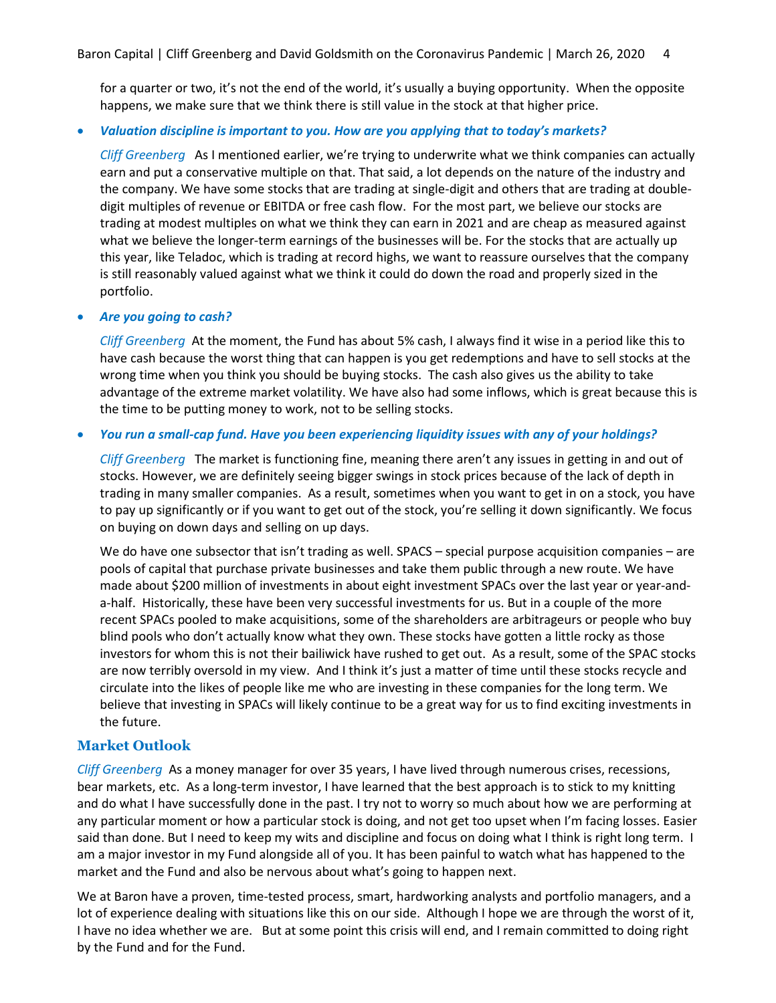for a quarter or two, it's not the end of the world, it's usually a buying opportunity. When the opposite happens, we make sure that we think there is still value in the stock at that higher price.

### • *Valuation discipline is important to you. How are you applying that to today's markets?*

*Cliff Greenberg* As I mentioned earlier, we're trying to underwrite what we think companies can actually earn and put a conservative multiple on that. That said, a lot depends on the nature of the industry and the company. We have some stocks that are trading at single-digit and others that are trading at doubledigit multiples of revenue or EBITDA or free cash flow. For the most part, we believe our stocks are trading at modest multiples on what we think they can earn in 2021 and are cheap as measured against what we believe the longer-term earnings of the businesses will be. For the stocks that are actually up this year, like Teladoc, which is trading at record highs, we want to reassure ourselves that the company is still reasonably valued against what we think it could do down the road and properly sized in the portfolio.

### • *Are you going to cash?*

*Cliff Greenberg* At the moment, the Fund has about 5% cash, I always find it wise in a period like this to have cash because the worst thing that can happen is you get redemptions and have to sell stocks at the wrong time when you think you should be buying stocks. The cash also gives us the ability to take advantage of the extreme market volatility. We have also had some inflows, which is great because this is the time to be putting money to work, not to be selling stocks.

## • *You run a small-cap fund. Have you been experiencing liquidity issues with any of your holdings?*

*Cliff Greenberg* The market is functioning fine, meaning there aren't any issues in getting in and out of stocks. However, we are definitely seeing bigger swings in stock prices because of the lack of depth in trading in many smaller companies. As a result, sometimes when you want to get in on a stock, you have to pay up significantly or if you want to get out of the stock, you're selling it down significantly. We focus on buying on down days and selling on up days.

We do have one subsector that isn't trading as well. SPACS – special purpose acquisition companies – are pools of capital that purchase private businesses and take them public through a new route. We have made about \$200 million of investments in about eight investment SPACs over the last year or year-anda-half. Historically, these have been very successful investments for us. But in a couple of the more recent SPACs pooled to make acquisitions, some of the shareholders are arbitrageurs or people who buy blind pools who don't actually know what they own. These stocks have gotten a little rocky as those investors for whom this is not their bailiwick have rushed to get out. As a result, some of the SPAC stocks are now terribly oversold in my view. And I think it's just a matter of time until these stocks recycle and circulate into the likes of people like me who are investing in these companies for the long term. We believe that investing in SPACs will likely continue to be a great way for us to find exciting investments in the future.

## **Market Outlook**

*Cliff Greenberg* As a money manager for over 35 years, I have lived through numerous crises, recessions, bear markets, etc. As a long-term investor, I have learned that the best approach is to stick to my knitting and do what I have successfully done in the past. I try not to worry so much about how we are performing at any particular moment or how a particular stock is doing, and not get too upset when I'm facing losses. Easier said than done. But I need to keep my wits and discipline and focus on doing what I think is right long term. I am a major investor in my Fund alongside all of you. It has been painful to watch what has happened to the market and the Fund and also be nervous about what's going to happen next.

We at Baron have a proven, time-tested process, smart, hardworking analysts and portfolio managers, and a lot of experience dealing with situations like this on our side. Although I hope we are through the worst of it, I have no idea whether we are. But at some point this crisis will end, and I remain committed to doing right by the Fund and for the Fund.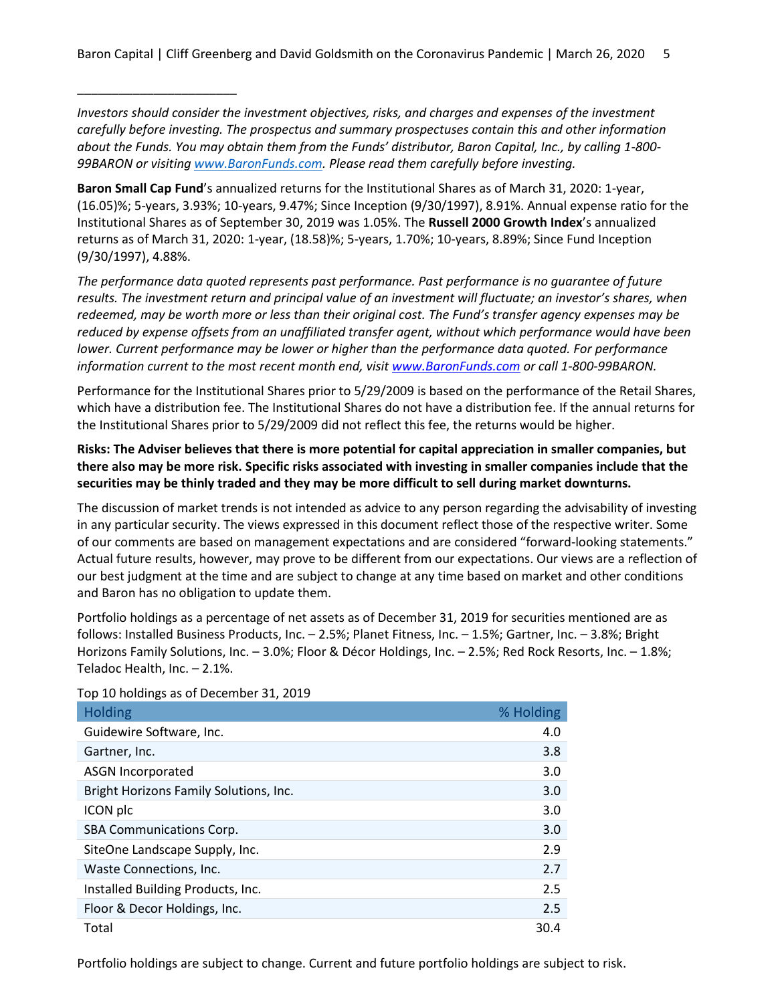*Investors should consider the investment objectives, risks, and charges and expenses of the investment carefully before investing. The prospectus and summary prospectuses contain this and other information about the Funds. You may obtain them from the Funds' distributor, Baron Capital, Inc., by calling 1-800- 99BARON or visiting [www.BaronFunds.com.](http://www.baronfunds.com/) Please read them carefully before investing.*

**Baron Small Cap Fund**'s annualized returns for the Institutional Shares as of March 31, 2020: 1-year, (16.05)%; 5-years, 3.93%; 10-years, 9.47%; Since Inception (9/30/1997), 8.91%. Annual expense ratio for the Institutional Shares as of September 30, 2019 was 1.05%. The **Russell 2000 Growth Index**'s annualized returns as of March 31, 2020: 1-year, (18.58)%; 5-years, 1.70%; 10-years, 8.89%; Since Fund Inception (9/30/1997), 4.88%.

*The performance data quoted represents past performance. Past performance is no guarantee of future results. The investment return and principal value of an investment will fluctuate; an investor's shares, when redeemed, may be worth more or less than their original cost. The Fund's transfer agency expenses may be reduced by expense offsets from an unaffiliated transfer agent, without which performance would have been lower. Current performance may be lower or higher than the performance data quoted. For performance information current to the most recent month end, visit [www.BaronFunds.com](http://www.baronfunds.com/) or call 1-800-99BARON.*

Performance for the Institutional Shares prior to 5/29/2009 is based on the performance of the Retail Shares, which have a distribution fee. The Institutional Shares do not have a distribution fee. If the annual returns for the Institutional Shares prior to 5/29/2009 did not reflect this fee, the returns would be higher.

## **Risks: The Adviser believes that there is more potential for capital appreciation in smaller companies, but there also may be more risk. Specific risks associated with investing in smaller companies include that the securities may be thinly traded and they may be more difficult to sell during market downturns.**

The discussion of market trends is not intended as advice to any person regarding the advisability of investing in any particular security. The views expressed in this document reflect those of the respective writer. Some of our comments are based on management expectations and are considered "forward-looking statements." Actual future results, however, may prove to be different from our expectations. Our views are a reflection of our best judgment at the time and are subject to change at any time based on market and other conditions and Baron has no obligation to update them.

Portfolio holdings as a percentage of net assets as of December 31, 2019 for securities mentioned are as follows: Installed Business Products, Inc. – 2.5%; Planet Fitness, Inc. – 1.5%; Gartner, Inc. – 3.8%; Bright Horizons Family Solutions, Inc. – 3.0%; Floor & Décor Holdings, Inc. – 2.5%; Red Rock Resorts, Inc. – 1.8%; Teladoc Health, Inc. – 2.1%.

| <b>Holding</b>                         | % Holding |
|----------------------------------------|-----------|
| Guidewire Software, Inc.               | 4.0       |
| Gartner, Inc.                          | 3.8       |
| <b>ASGN Incorporated</b>               | 3.0       |
| Bright Horizons Family Solutions, Inc. | 3.0       |
| ICON plc                               | 3.0       |
| <b>SBA Communications Corp.</b>        | 3.0       |
| SiteOne Landscape Supply, Inc.         | 2.9       |
| Waste Connections, Inc.                | 2.7       |
| Installed Building Products, Inc.      | 2.5       |
| Floor & Decor Holdings, Inc.           | 2.5       |
| Total                                  | 30.4      |

Top 10 holdings as of December 31, 2019

\_\_\_\_\_\_\_\_\_\_\_\_\_\_\_\_\_\_\_\_\_\_\_

Portfolio holdings are subject to change. Current and future portfolio holdings are subject to risk.